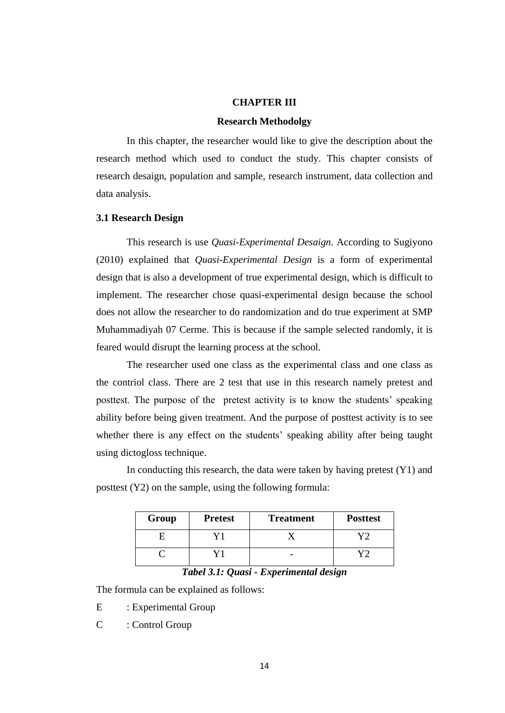### **CHAPTER III**

#### **Research Methodolgy**

In this chapter, the researcher would like to give the description about the research method which used to conduct the study. This chapter consists of research desaign, population and sample, research instrument, data collection and data analysis.

# **3.1 Research Design**

This research is use *Quasi-Experimental Desaign*. According to Sugiyono (2010) explained that *Quasi-Experimental Design* is a form of experimental design that is also a development of true experimental design, which is difficult to implement. The researcher chose quasi-experimental design because the school does not allow the researcher to do randomization and do true experiment at SMP Muhammadiyah 07 Cerme. This is because if the sample selected randomly, it is feared would disrupt the learning process at the school.

The researcher used one class as the experimental class and one class as the contriol class. There are 2 test that use in this research namely pretest and posttest. The purpose of the pretest activity is to know the students' speaking ability before being given treatment. And the purpose of posttest activity is to see whether there is any effect on the students' speaking ability after being taught using dictogloss technique.

In conducting this research, the data were taken by having pretest  $(Y1)$  and posttest (Y2) on the sample, using the following formula:

| Group | <b>Pretest</b> | <b>Treatment</b> | <b>Posttest</b> |
|-------|----------------|------------------|-----------------|
|       |                |                  |                 |
|       |                |                  |                 |

### *Tabel 3.1: Quasi - Experimental design*

The formula can be explained as follows:

E : Experimental Group

C : Control Group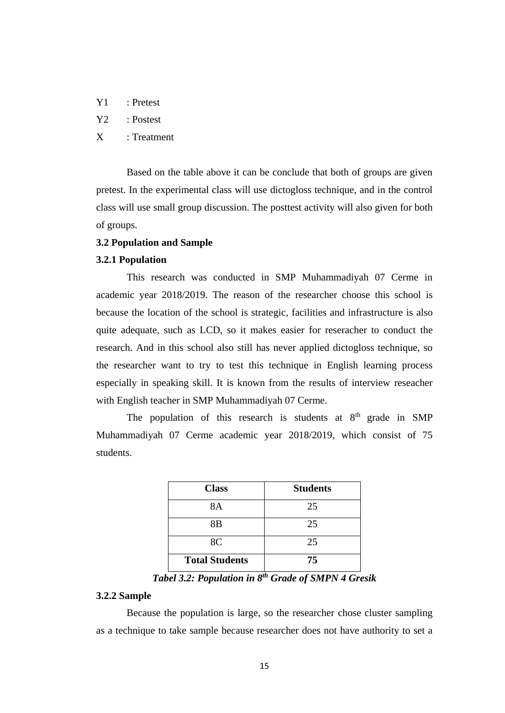| Y1 | : Pretest |
|----|-----------|
|    |           |

Y2 : Postest

## X : Treatment

Based on the table above it can be conclude that both of groups are given pretest. In the experimental class will use dictogloss technique, and in the control class will use small group discussion. The posttest activity will also given for both of groups.

## **3.2 Population and Sample**

### **3.2.1 Population**

This research was conducted in SMP Muhammadiyah 07 Cerme in academic year 2018/2019. The reason of the researcher choose this school is because the location of the school is strategic, facilities and infrastructure is also quite adequate, such as LCD, so it makes easier for reseracher to conduct the research. And in this school also still has never applied dictogloss technique, so the researcher want to try to test this technique in English learning process especially in speaking skill. It is known from the results of interview reseacher with English teacher in SMP Muhammadiyah 07 Cerme.

The population of this research is students at  $8<sup>th</sup>$  grade in SMP Muhammadiyah 07 Cerme academic year 2018/2019, which consist of 75 students.

| <b>Class</b>          | <b>Students</b> |
|-----------------------|-----------------|
| 8A                    | 25              |
| 8 <sub>B</sub>        | 25              |
| 8C                    | 25              |
| <b>Total Students</b> | 75              |

*Tabel 3.2: Population in 8th Grade of SMPN 4 Gresik*

#### **3.2.2 Sample**

Because the population is large, so the researcher chose cluster sampling as a technique to take sample because researcher does not have authority to set a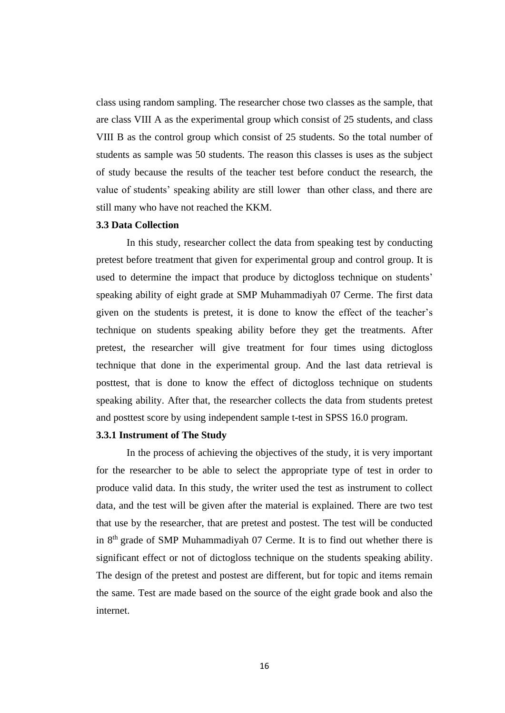class using random sampling. The researcher chose two classes as the sample, that are class VIII A as the experimental group which consist of 25 students, and class VIII B as the control group which consist of 25 students. So the total number of students as sample was 50 students. The reason this classes is uses as the subject of study because the results of the teacher test before conduct the research, the value of students' speaking ability are still lower than other class, and there are still many who have not reached the KKM.

### **3.3 Data Collection**

In this study, researcher collect the data from speaking test by conducting pretest before treatment that given for experimental group and control group. It is used to determine the impact that produce by dictogloss technique on students' speaking ability of eight grade at SMP Muhammadiyah 07 Cerme. The first data given on the students is pretest, it is done to know the effect of the teacher's technique on students speaking ability before they get the treatments. After pretest, the researcher will give treatment for four times using dictogloss technique that done in the experimental group. And the last data retrieval is posttest, that is done to know the effect of dictogloss technique on students speaking ability. After that, the researcher collects the data from students pretest and posttest score by using independent sample t-test in SPSS 16.0 program.

### **3.3.1 Instrument of The Study**

In the process of achieving the objectives of the study, it is very important for the researcher to be able to select the appropriate type of test in order to produce valid data. In this study, the writer used the test as instrument to collect data, and the test will be given after the material is explained. There are two test that use by the researcher, that are pretest and postest. The test will be conducted in 8th grade of SMP Muhammadiyah 07 Cerme. It is to find out whether there is significant effect or not of dictogloss technique on the students speaking ability. The design of the pretest and postest are different, but for topic and items remain the same. Test are made based on the source of the eight grade book and also the internet.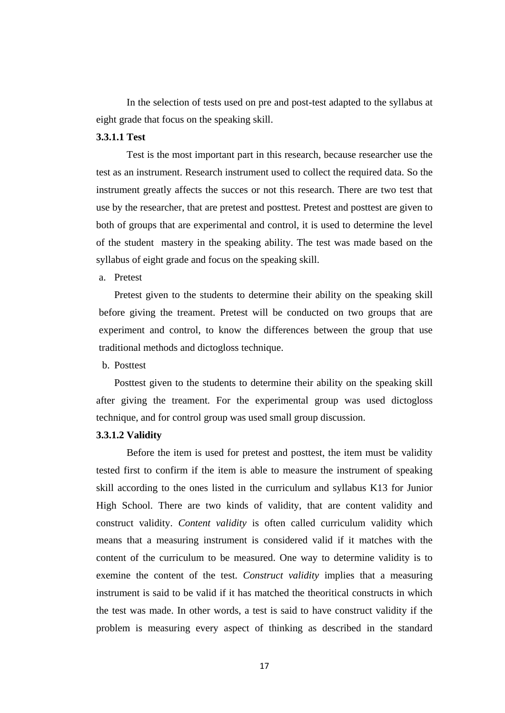In the selection of tests used on pre and post-test adapted to the syllabus at eight grade that focus on the speaking skill.

## **3.3.1.1 Test**

Test is the most important part in this research, because researcher use the test as an instrument. Research instrument used to collect the required data. So the instrument greatly affects the succes or not this research. There are two test that use by the researcher, that are pretest and posttest. Pretest and posttest are given to both of groups that are experimental and control, it is used to determine the level of the student mastery in the speaking ability. The test was made based on the syllabus of eight grade and focus on the speaking skill.

a. Pretest

Pretest given to the students to determine their ability on the speaking skill before giving the treament. Pretest will be conducted on two groups that are experiment and control, to know the differences between the group that use traditional methods and dictogloss technique.

b. Posttest

Posttest given to the students to determine their ability on the speaking skill after giving the treament. For the experimental group was used dictogloss technique, and for control group was used small group discussion.

## **3.3.1.2 Validity**

Before the item is used for pretest and posttest, the item must be validity tested first to confirm if the item is able to measure the instrument of speaking skill according to the ones listed in the curriculum and syllabus K13 for Junior High School. There are two kinds of validity, that are content validity and construct validity. *Content validity* is often called curriculum validity which means that a measuring instrument is considered valid if it matches with the content of the curriculum to be measured. One way to determine validity is to exemine the content of the test. *Construct validity* implies that a measuring instrument is said to be valid if it has matched the theoritical constructs in which the test was made. In other words, a test is said to have construct validity if the problem is measuring every aspect of thinking as described in the standard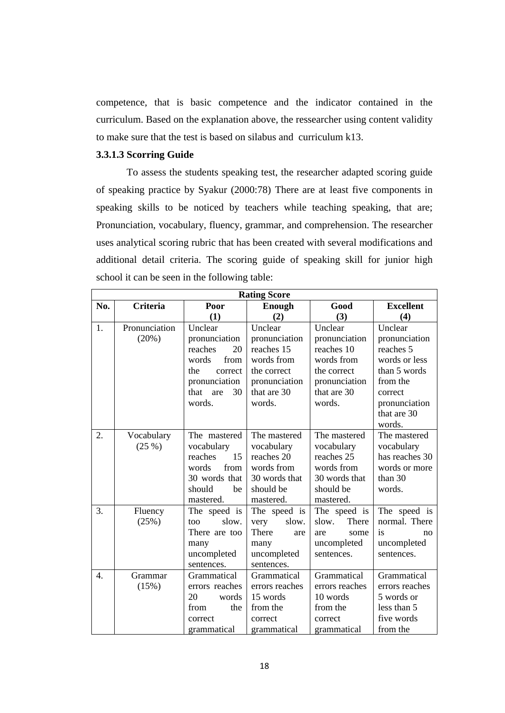competence, that is basic competence and the indicator contained in the curriculum. Based on the explanation above, the ressearcher using content validity to make sure that the test is based on silabus and curriculum k13.

### **3.3.1.3 Scorring Guide**

To assess the students speaking test, the researcher adapted scoring guide of speaking practice by Syakur (2000:78) There are at least five components in speaking skills to be noticed by teachers while teaching speaking, that are; Pronunciation, vocabulary, fluency, grammar, and comprehension. The researcher uses analytical scoring rubric that has been created with several modifications and additional detail criteria. The scoring guide of speaking skill for junior high school it can be seen in the following table:

| <b>Rating Score</b> |                 |                   |                |                |                  |
|---------------------|-----------------|-------------------|----------------|----------------|------------------|
| No.                 | <b>Criteria</b> | Poor              | Enough         | Good           | <b>Excellent</b> |
|                     |                 | (1)               | (2)            | (3)            | (4)              |
| 1.                  | Pronunciation   | Unclear           | Unclear        | Unclear        | Unclear          |
|                     | (20%)           | pronunciation     | pronunciation  | pronunciation  | pronunciation    |
|                     |                 | reaches<br>20     | reaches 15     | reaches 10     | reaches 5        |
|                     |                 | words<br>from     | words from     | words from     | words or less    |
|                     |                 | the<br>correct    | the correct    | the correct    | than 5 words     |
|                     |                 | pronunciation     | pronunciation  | pronunciation  | from the         |
|                     |                 | that<br>30<br>are | that are 30    | that are 30    | correct          |
|                     |                 | words.            | words.         | words.         | pronunciation    |
|                     |                 |                   |                |                | that are 30      |
|                     |                 |                   |                |                | words.           |
| 2.                  | Vocabulary      | The mastered      | The mastered   | The mastered   | The mastered     |
|                     | (25%)           | vocabulary        | vocabulary     | vocabulary     | vocabulary       |
|                     |                 | reaches<br>15     | reaches 20     | reaches 25     | has reaches 30   |
|                     |                 | words<br>from     | words from     | words from     | words or more    |
|                     |                 | 30 words that     | 30 words that  | 30 words that  | than 30          |
|                     |                 | should<br>be      | should be      | should be      | words.           |
|                     |                 | mastered.         | mastered.      | mastered.      |                  |
| 3.                  | Fluency         | The speed is      | The speed is   | The speed is   | The speed is     |
|                     | (25%)           | slow.<br>too      | slow.<br>very  | There<br>slow. | normal. There    |
|                     |                 | There are too     | There<br>are   | some<br>are    | is<br>no         |
|                     |                 | many              | many           | uncompleted    | uncompleted      |
|                     |                 | uncompleted       | uncompleted    | sentences.     | sentences.       |
|                     |                 | sentences.        | sentences.     |                |                  |
| $\overline{4}$ .    | Grammar         | Grammatical       | Grammatical    | Grammatical    | Grammatical      |
|                     | (15%)           | errors reaches    | errors reaches | errors reaches | errors reaches   |
|                     |                 | 20<br>words       | 15 words       | 10 words       | 5 words or       |
|                     |                 | from<br>the       | from the       | from the       | less than 5      |
|                     |                 | correct           | correct        | correct        | five words       |
|                     |                 | grammatical       | grammatical    | grammatical    | from the         |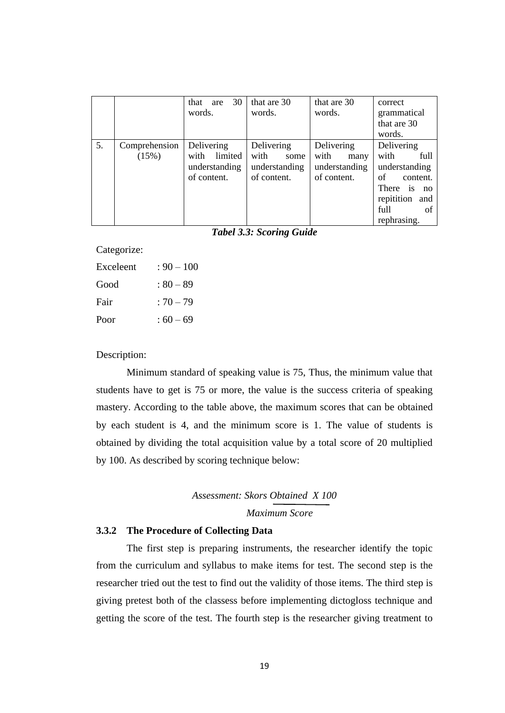|    |               | 30<br>that<br>are | that are 30   | that are 30   | correct                       |
|----|---------------|-------------------|---------------|---------------|-------------------------------|
|    |               | words.            | words.        | words.        | grammatical                   |
|    |               |                   |               |               | that are 30                   |
|    |               |                   |               |               | words.                        |
| 5. | Comprehension | Delivering        | Delivering    | Delivering    | Delivering                    |
|    | (15%)         | with<br>limited   | with<br>some  | with<br>many  | with<br>full                  |
|    |               | understanding     | understanding | understanding | understanding                 |
|    |               | of content.       | of content.   | of content.   | of<br>content.                |
|    |               |                   |               |               | There<br>$\overline{1}$<br>no |
|    |               |                   |               |               | repitition and                |
|    |               |                   |               |               | full<br>of                    |
|    |               |                   |               |               | rephrasing.                   |

*Tabel 3.3: Scoring Guide*

Categorize:

| Exceleent | $: 90 - 100$ |
|-----------|--------------|
| Good      | : 80 – 89    |
| Fair      | $:70 - 79$   |
| Poor      | $:60-69$     |

## Description:

Minimum standard of speaking value is 75, Thus, the minimum value that students have to get is 75 or more, the value is the success criteria of speaking mastery. According to the table above, the maximum scores that can be obtained by each student is 4, and the minimum score is 1. The value of students is obtained by dividing the total acquisition value by a total score of 20 multiplied by 100. As described by scoring technique below:

*Assessment: Skors Obtained X 100 Maximum Score*

#### **3.3.2 The Procedure of Collecting Data**

The first step is preparing instruments, the researcher identify the topic from the curriculum and syllabus to make items for test. The second step is the researcher tried out the test to find out the validity of those items. The third step is giving pretest both of the classess before implementing dictogloss technique and getting the score of the test. The fourth step is the researcher giving treatment to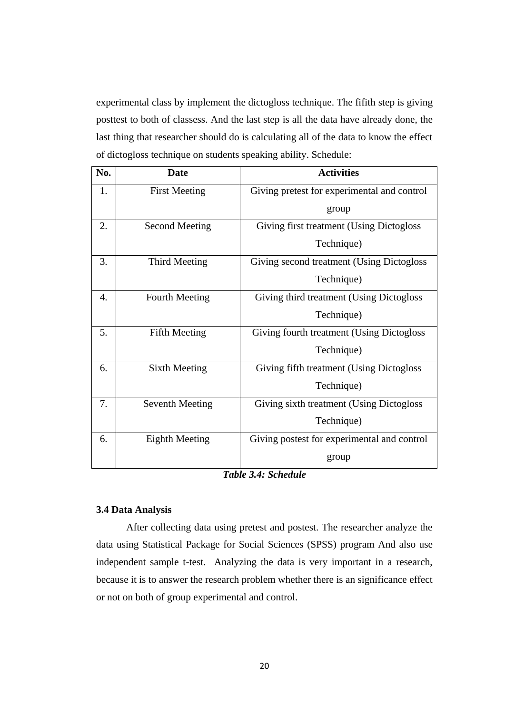experimental class by implement the dictogloss technique. The fifith step is giving posttest to both of classess. And the last step is all the data have already done, the last thing that researcher should do is calculating all of the data to know the effect of dictogloss technique on students speaking ability. Schedule:

| No.              | <b>Date</b>            | <b>Activities</b>                           |
|------------------|------------------------|---------------------------------------------|
| 1.               | <b>First Meeting</b>   | Giving pretest for experimental and control |
|                  |                        | group                                       |
| 2.               | <b>Second Meeting</b>  | Giving first treatment (Using Dictogloss    |
|                  |                        | Technique)                                  |
| 3.               | Third Meeting          | Giving second treatment (Using Dictogloss   |
|                  |                        | Technique)                                  |
| $\overline{4}$ . | <b>Fourth Meeting</b>  | Giving third treatment (Using Dictogloss)   |
|                  |                        | Technique)                                  |
| 5.               | <b>Fifth Meeting</b>   | Giving fourth treatment (Using Dictogloss   |
|                  |                        | Technique)                                  |
| 6.               | Sixth Meeting          | Giving fifth treatment (Using Dictogloss    |
|                  |                        | Technique)                                  |
| 7.               | <b>Seventh Meeting</b> | Giving sixth treatment (Using Dictogloss    |
|                  |                        | Technique)                                  |
| 6.               | <b>Eighth Meeting</b>  | Giving postest for experimental and control |
|                  |                        | group                                       |

*Table 3.4: Schedule*

## **3.4 Data Analysis**

After collecting data using pretest and postest. The researcher analyze the data using Statistical Package for Social Sciences (SPSS) program And also use independent sample t-test. Analyzing the data is very important in a research, because it is to answer the research problem whether there is an significance effect or not on both of group experimental and control.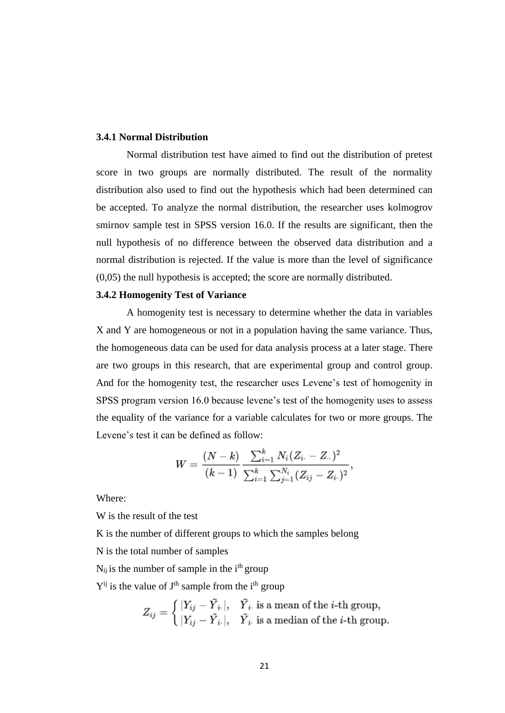## **3.4.1 Normal Distribution**

Normal distribution test have aimed to find out the distribution of pretest score in two groups are normally distributed. The result of the normality distribution also used to find out the hypothesis which had been determined can be accepted. To analyze the normal distribution, the researcher uses kolmogrov smirnov sample test in SPSS version 16.0. If the results are significant, then the null hypothesis of no difference between the observed data distribution and a normal distribution is rejected. If the value is more than the level of significance (0,05) the null hypothesis is accepted; the score are normally distributed.

#### **3.4.2 Homogenity Test of Variance**

A homogenity test is necessary to determine whether the data in variables X and Y are homogeneous or not in a population having the same variance. Thus, the homogeneous data can be used for data analysis process at a later stage. There are two groups in this research, that are experimental group and control group. And for the homogenity test, the researcher uses Levene's test of homogenity in SPSS program version 16.0 because levene's test of the homogenity uses to assess the equality of the variance for a variable calculates for two or more groups. The Levene's test it can be defined as follow:

$$
W = \frac{(N-k)}{(k-1)} \frac{\sum_{i=1}^{k} N_i (Z_{i \cdot} - Z_{\cdot \cdot})^2}{\sum_{i=1}^{k} \sum_{j=1}^{N_i} (Z_{ij} - Z_{i \cdot})^2},
$$

Where:

W is the result of the test

K is the number of different groups to which the samples belong

N is the total number of samples

 $N_{ij}$  is the number of sample in the i<sup>th</sup> group

 $Y^{ij}$  is the value of  $J^{th}$  sample from the i<sup>th</sup> group

$$
Z_{ij} = \begin{cases} |Y_{ij} - \bar{Y}_{i\cdot}|, & \bar{Y}_{i\cdot} \text{ is a mean of the } i\text{-th group,} \\ |Y_{ij} - \tilde{Y}_{i\cdot}|, & \tilde{Y}_{i\cdot} \text{ is a median of the } i\text{-th group.} \end{cases}
$$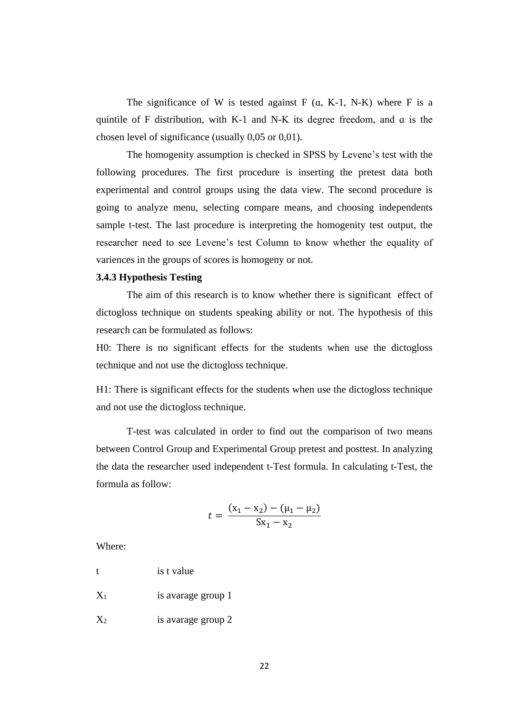The significance of W is tested against  $F$  (a, K-1, N-K) where  $F$  is a quintile of F distribution, with K-1 and N-K its degree freedom, and ɑ is the chosen level of significance (usually 0,05 or 0,01).

The homogenity assumption is checked in SPSS by Levene's test with the following procedures. The first procedure is inserting the pretest data both experimental and control groups using the data view. The second procedure is going to analyze menu, selecting compare means, and choosing independents sample t-test. The last procedure is interpreting the homogenity test output, the researcher need to see Levene's test Column to know whether the equality of variences in the groups of scores is homogeny or not.

#### **3.4.3 Hypothesis Testing**

The aim of this research is to know whether there is significant effect of dictogloss technique on students speaking ability or not. The hypothesis of this research can be formulated as follows:

H0: There is no significant effects for the students when use the dictogloss technique and not use the dictogloss technique.

H1: There is significant effects for the students when use the dictogloss technique and not use the dictogloss technique.

T-test was calculated in order to find out the comparison of two means between Control Group and Experimental Group pretest and posttest. In analyzing the data the researcher used independent t-Test formula. In calculating t-Test, the formula as follow:

$$
t = \frac{(x_1 - x_2) - (\mu_1 - \mu_2)}{Sx_1 - x_2}
$$

Where:

t is t value

X<sup>1</sup> is avarage group 1

 $X_2$  is avarage group 2